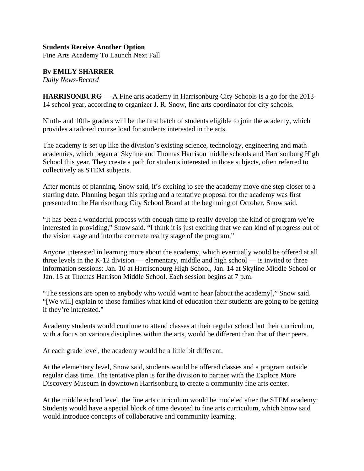## **Students Receive Another Option**

Fine Arts Academy To Launch Next Fall

## **By EMILY SHARRER**

*Daily News-Record*

**HARRISONBURG** — A Fine arts academy in Harrisonburg City Schools is a go for the 2013- 14 school year, according to organizer J. R. Snow, fine arts coordinator for city schools.

Ninth- and 10th- graders will be the first batch of students eligible to join the academy, which provides a tailored course load for students interested in the arts.

The academy is set up like the division's existing science, technology, engineering and math academies, which began at Skyline and Thomas Harrison middle schools and Harrisonburg High School this year. They create a path for students interested in those subjects, often referred to collectively as STEM subjects.

After months of planning, Snow said, it's exciting to see the academy move one step closer to a starting date. Planning began this spring and a tentative proposal for the academy was first presented to the Harrisonburg City School Board at the beginning of October, Snow said.

"It has been a wonderful process with enough time to really develop the kind of program we're interested in providing," Snow said. "I think it is just exciting that we can kind of progress out of the vision stage and into the concrete reality stage of the program."

Anyone interested in learning more about the academy, which eventually would be offered at all three levels in the K-12 division — elementary, middle and high school — is invited to three information sessions: Jan. 10 at Harrisonburg High School, Jan. 14 at Skyline Middle School or Jan. 15 at Thomas Harrison Middle School. Each session begins at 7 p.m.

"The sessions are open to anybody who would want to hear [about the academy]," Snow said. "[We will] explain to those families what kind of education their students are going to be getting if they're interested."

Academy students would continue to attend classes at their regular school but their curriculum, with a focus on various disciplines within the arts, would be different than that of their peers.

At each grade level, the academy would be a little bit different.

At the elementary level, Snow said, students would be offered classes and a program outside regular class time. The tentative plan is for the division to partner with the Explore More Discovery Museum in downtown Harrisonburg to create a community fine arts center.

At the middle school level, the fine arts curriculum would be modeled after the STEM academy: Students would have a special block of time devoted to fine arts curriculum, which Snow said would introduce concepts of collaborative and community learning.